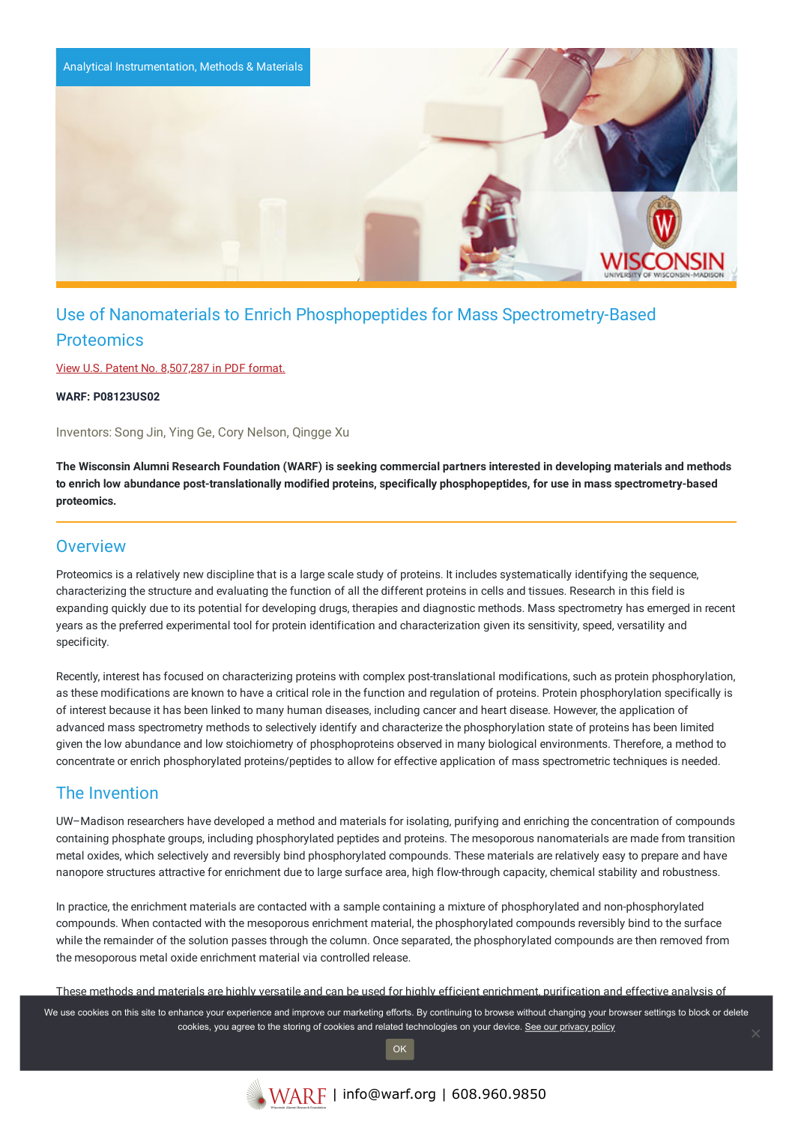

# Use of Nanomaterials to Enrich Phosphopeptides for Mass Spectrometry-Based **Proteomics**

View U.S. Patent No. [8,507,287](https://www.warf.org/wp-content/uploads/technologies/ipstatus/P08123US02.PDF) in PDF format.

**WARF: P08123US02**

Inventors: Song Jin, Ying Ge, Cory Nelson, Qingge Xu

The Wisconsin Alumni Research Foundation (WARF) is seeking commercial partners interested in developing materials and methods to enrich low abundance post-translationally modified proteins, specifically phosphopeptides, for use in mass spectrometry-based **proteomics.**

### **Overview**

Proteomics is a relatively new discipline that is a large scale study of proteins. It includes systematically identifying the sequence, characterizing the structure and evaluating the function of all the different proteins in cells and tissues. Research in this field is expanding quickly due to its potential for developing drugs, therapies and diagnostic methods. Mass spectrometry has emerged in recent years as the preferred experimental tool for protein identification and characterization given its sensitivity, speed, versatility and specificity.

Recently, interest has focused on characterizing proteins with complex post-translational modifications, such as protein phosphorylation, as these modifications are known to have a critical role in the function and regulation of proteins. Protein phosphorylation specifically is of interest because it has been linked to many human diseases, including cancer and heart disease. However, the application of advanced mass spectrometry methods to selectively identify and characterize the phosphorylation state of proteins has been limited given the low abundance and low stoichiometry of phosphoproteins observed in many biological environments. Therefore, a method to concentrate or enrich phosphorylated proteins/peptides to allow for effective application of mass spectrometric techniques is needed.

### The Invention

UW–Madison researchers have developed a method and materials for isolating, purifying and enriching the concentration of compounds containing phosphate groups, including phosphorylated peptides and proteins. The mesoporous nanomaterials are made from transition metal oxides, which selectively and reversibly bind phosphorylated compounds. These materials are relatively easy to prepare and have nanopore structures attractive for enrichment due to large surface area, high flow-through capacity, chemical stability and robustness.

In practice, the enrichment materials are contacted with a sample containing a mixture of phosphorylated and non-phosphorylated compounds. When contacted with the mesoporous enrichment material, the phosphorylated compounds reversibly bind to the surface while the remainder of the solution passes through the column. Once separated, the phosphorylated compounds are then removed from the mesoporous metal oxide enrichment material via controlled release.

These methods and materials are highly versatile and can be used for highly efficient enrichment, purification and effective analysis of

We use cookies on this site to enhance your experience and improve our marketing efforts. By continuing to browse without changing your browser settings to block or delete cookies, you agree to the storing of cookies and related technologies on your device. [See our privacy policy](https://www.warf.org/privacy-policy/)